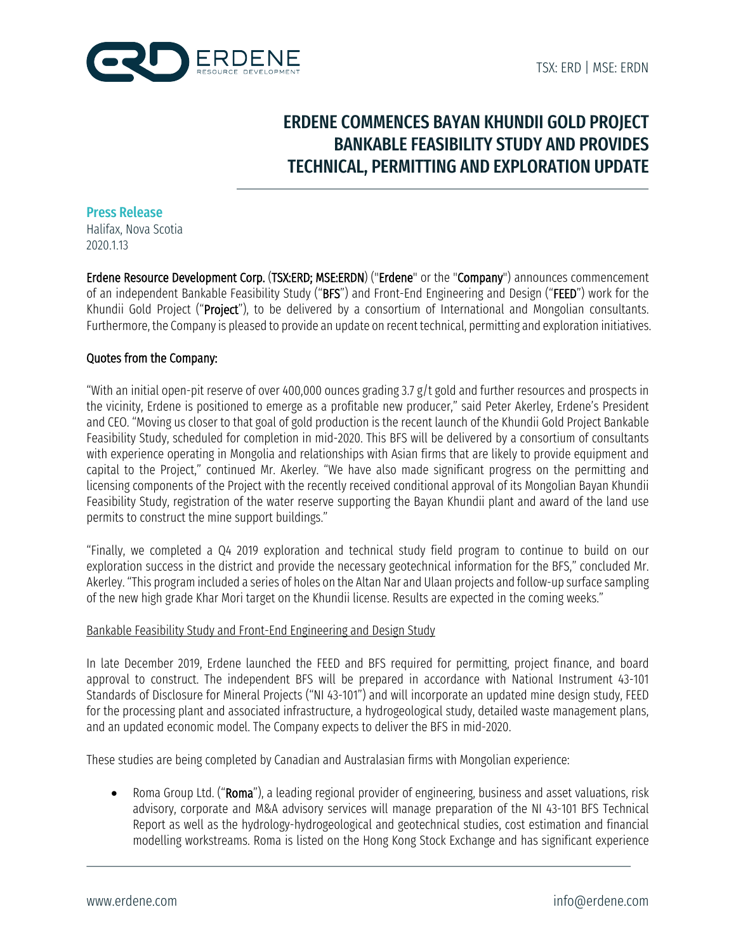

# ERDENE COMMENCES BAYAN KHUNDII GOLD PROJECT BANKABLE FEASIBILITY STUDY AND PROVIDES TECHNICAL, PERMITTING AND EXPLORATION UPDATE

Press Release Halifax, Nova Scotia 2020.1.13

Erdene Resource Development Corp. (TSX:ERD; MSE:ERDN) ("Erdene" or the "Company") announces commencement of an independent Bankable Feasibility Study ("BFS") and Front-End Engineering and Design ("FEED") work for the Khundii Gold Project ("Project"), to be delivered by a consortium of International and Mongolian consultants. Furthermore, the Company is pleased to provide an update on recent technical, permitting and exploration initiatives.

#### Quotes from the Company:

"With an initial open-pit reserve of over 400,000 ounces grading 3.7 g/t gold and further resources and prospects in the vicinity, Erdene is positioned to emerge as a profitable new producer," said Peter Akerley, Erdene's President and CEO. "Moving us closer to that goal of gold production is the recent launch of the Khundii Gold Project Bankable Feasibility Study, scheduled for completion in mid-2020. This BFS will be delivered by a consortium of consultants with experience operating in Mongolia and relationships with Asian firms that are likely to provide equipment and capital to the Project," continued Mr. Akerley. "We have also made significant progress on the permitting and licensing components of the Project with the recently received conditional approval of its Mongolian Bayan Khundii Feasibility Study, registration of the water reserve supporting the Bayan Khundii plant and award of the land use permits to construct the mine support buildings."

"Finally, we completed a Q4 2019 exploration and technical study field program to continue to build on our exploration success in the district and provide the necessary geotechnical information for the BFS," concluded Mr. Akerley. "This program included a series of holes on the Altan Nar and Ulaan projects and follow-up surface sampling of the new high grade Khar Mori target on the Khundii license. Results are expected in the coming weeks."

#### Bankable Feasibility Study and Front-End Engineering and Design Study

In late December 2019, Erdene launched the FEED and BFS required for permitting, project finance, and board approval to construct. The independent BFS will be prepared in accordance with National Instrument 43-101 Standards of Disclosure for Mineral Projects ("NI 43-101") and will incorporate an updated mine design study, FEED for the processing plant and associated infrastructure, a hydrogeological study, detailed waste management plans, and an updated economic model. The Company expects to deliver the BFS in mid-2020.

These studies are being completed by Canadian and Australasian firms with Mongolian experience:

• Roma Group Ltd. ("Roma"), a leading regional provider of engineering, business and asset valuations, risk advisory, corporate and M&A advisory services will manage preparation of the NI 43-101 BFS Technical Report as well as the hydrology-hydrogeological and geotechnical studies, cost estimation and financial modelling workstreams. Roma is listed on the Hong Kong Stock Exchange and has significant experience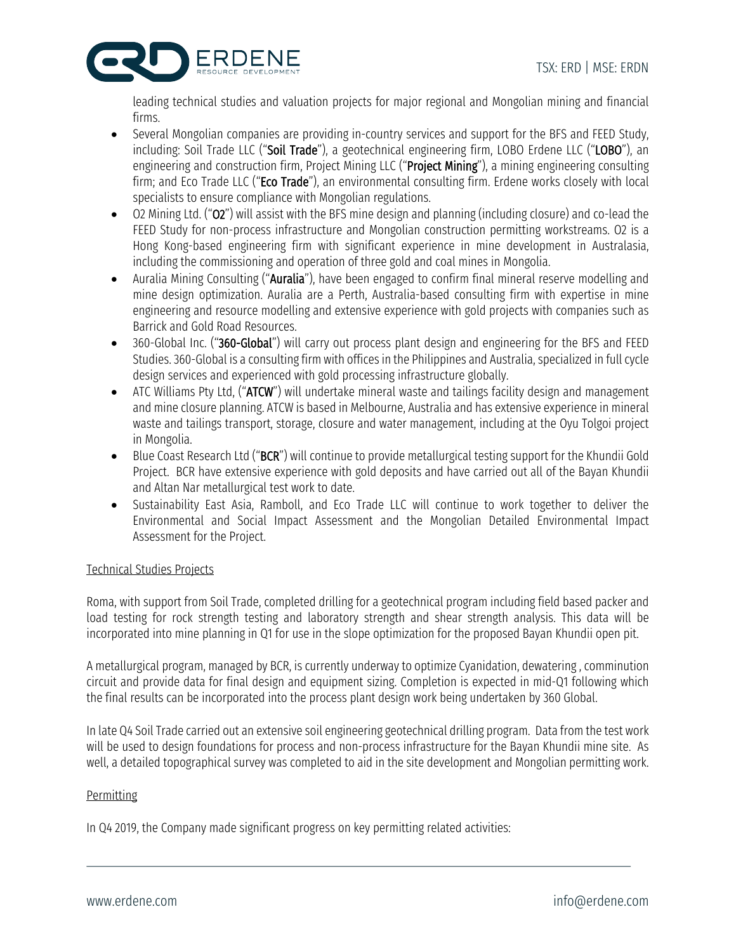

leading technical studies and valuation projects for major regional and Mongolian mining and financial firms.

- Several Mongolian companies are providing in-country services and support for the BFS and FEED Study, including: Soil Trade LLC ("Soil Trade"), a geotechnical engineering firm, LOBO Erdene LLC ("LOBO"), an engineering and construction firm, Project Mining LLC ("Project Mining"), a mining engineering consulting firm; and Eco Trade LLC ("Eco Trade"), an environmental consulting firm. Erdene works closely with local specialists to ensure compliance with Mongolian regulations.
- O2 Mining Ltd. ("O2") will assist with the BFS mine design and planning (including closure) and co-lead the FEED Study for non-process infrastructure and Mongolian construction permitting workstreams. O2 is a Hong Kong-based engineering firm with significant experience in mine development in Australasia, including the commissioning and operation of three gold and coal mines in Mongolia.
- Auralia Mining Consulting ("Auralia"), have been engaged to confirm final mineral reserve modelling and mine design optimization. Auralia are a Perth, Australia-based consulting firm with expertise in mine engineering and resource modelling and extensive experience with gold projects with companies such as Barrick and Gold Road Resources.
- 360-Global Inc. ("360-Global") will carry out process plant design and engineering for the BFS and FEED Studies. 360-Global is a consulting firm with offices in the Philippines and Australia, specialized in full cycle design services and experienced with gold processing infrastructure globally.
- ATC Williams Pty Ltd, ("ATCW") will undertake mineral waste and tailings facility design and management and mine closure planning. ATCW is based in Melbourne, Australia and has extensive experience in mineral waste and tailings transport, storage, closure and water management, including at the Oyu Tolgoi project in Mongolia.
- Blue Coast Research Ltd ("BCR") will continue to provide metallurgical testing support for the Khundii Gold Project. BCR have extensive experience with gold deposits and have carried out all of the Bayan Khundii and Altan Nar metallurgical test work to date.
- Sustainability East Asia, Ramboll, and Eco Trade LLC will continue to work together to deliver the Environmental and Social Impact Assessment and the Mongolian Detailed Environmental Impact Assessment for the Project.

## Technical Studies Projects

Roma, with support from Soil Trade, completed drilling for a geotechnical program including field based packer and load testing for rock strength testing and laboratory strength and shear strength analysis. This data will be incorporated into mine planning in Q1 for use in the slope optimization for the proposed Bayan Khundii open pit.

A metallurgical program, managed by BCR, is currently underwayto optimize Cyanidation, dewatering , comminution circuit and provide data for final design and equipment sizing. Completion is expected in mid-Q1 following which the final results can be incorporated into the process plant design work being undertaken by 360 Global.

In late Q4 Soil Trade carried out an extensive soil engineering geotechnical drilling program. Data from the test work will be used to design foundations for process and non-process infrastructure for the Bayan Khundii mine site. As well, a detailed topographical survey was completed to aid in the site development and Mongolian permitting work.

#### Permitting

In Q4 2019, the Company made significant progress on key permitting related activities: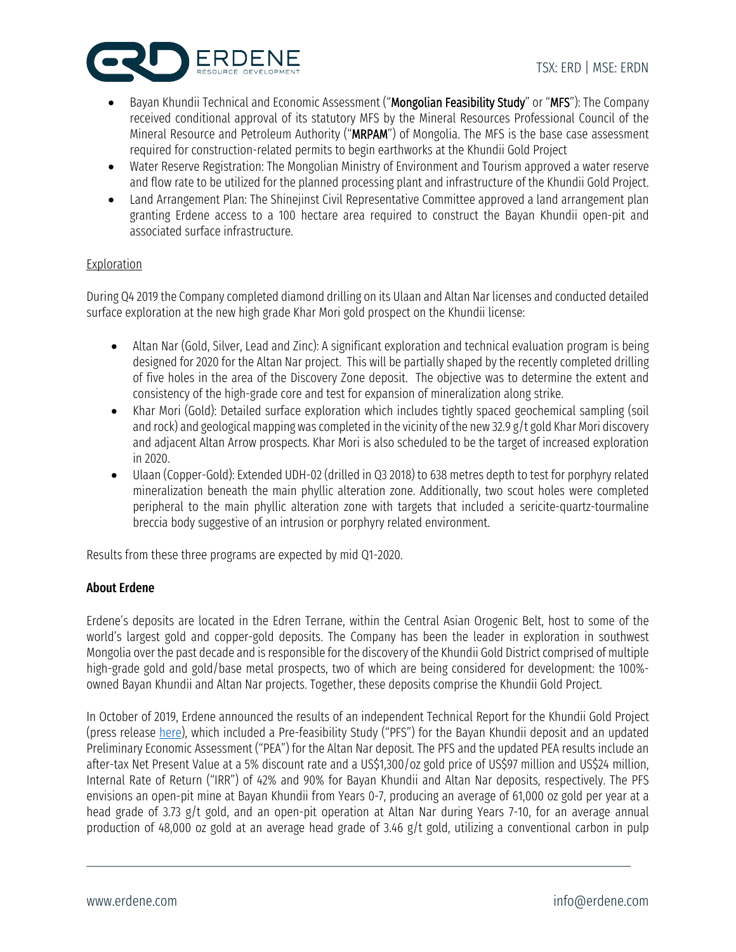



- Bayan Khundii Technical and Economic Assessment ("Mongolian Feasibility Study" or "MFS"): The Company received conditional approval of its statutory MFS by the Mineral Resources Professional Council of the Mineral Resource and Petroleum Authority ("MRPAM") of Mongolia. The MFS is the base case assessment required for construction-related permits to begin earthworks at the Khundii Gold Project
- Water Reserve Registration: The Mongolian Ministry of Environment and Tourism approved a water reserve and flow rate to be utilized for the planned processing plant and infrastructure of the Khundii Gold Project.
- Land Arrangement Plan: The Shinejinst Civil Representative Committee approved a land arrangement plan granting Erdene access to a 100 hectare area required to construct the Bayan Khundii open-pit and associated surface infrastructure.

## **Exploration**

During Q4 2019 the Company completed diamond drilling on its Ulaan and Altan Nar licenses and conducted detailed surface exploration at the new high grade Khar Mori gold prospect on the Khundii license:

- Altan Nar (Gold, Silver, Lead and Zinc): A significant exploration and technical evaluation program is being designed for 2020 for the Altan Nar project. This will be partially shaped by the recently completed drilling of five holes in the area of the Discovery Zone deposit. The objective was to determine the extent and consistency of the high-grade core and test for expansion of mineralization along strike.
- Khar Mori (Gold): Detailed surface exploration which includes tightly spaced geochemical sampling (soil and rock) and geological mapping was completed in the vicinity of the new 32.9 g/t gold Khar Mori discovery and adjacent Altan Arrow prospects. Khar Mori is also scheduled to be the target of increased exploration in 2020.
- Ulaan (Copper-Gold): Extended UDH-02 (drilled in Q3 2018) to 638 metres depth to test for porphyry related mineralization beneath the main phyllic alteration zone. Additionally, two scout holes were completed peripheral to the main phyllic alteration zone with targets that included a sericite-quartz-tourmaline breccia body suggestive of an intrusion or porphyry related environment.

Results from these three programs are expected by mid Q1-2020.

## About Erdene

Erdene's deposits are located in the Edren Terrane, within the Central Asian Orogenic Belt, host to some of the world's largest gold and copper-gold deposits. The Company has been the leader in exploration in southwest Mongolia over the past decade and is responsible for the discovery of the Khundii Gold District comprised of multiple high-grade gold and gold/base metal prospects, two of which are being considered for development: the 100% owned Bayan Khundii and Altan Nar projects. Together, these deposits comprise the Khundii Gold Project.

In October of 2019, Erdene announced the results of an independent Technical Report for the Khundii Gold Project (press release here), which included a Pre-feasibility Study ("PFS") for the Bayan Khundii deposit and an updated Preliminary Economic Assessment ("PEA") for the Altan Nar deposit. The PFS and the updated PEA results include an after-tax Net Present Value at a 5% discount rate and a US\$1,300/oz gold price of US\$97 million and US\$24 million, Internal Rate of Return ("IRR") of 42% and 90% for Bayan Khundii and Altan Nar deposits, respectively. The PFS envisions an open-pit mine at Bayan Khundii from Years 0-7, producing an average of 61,000 oz gold per year at a head grade of 3.73 g/t gold, and an open-pit operation at Altan Nar during Years 7-10, for an average annual production of 48,000 oz gold at an average head grade of 3.46 g/t gold, utilizing a conventional carbon in pulp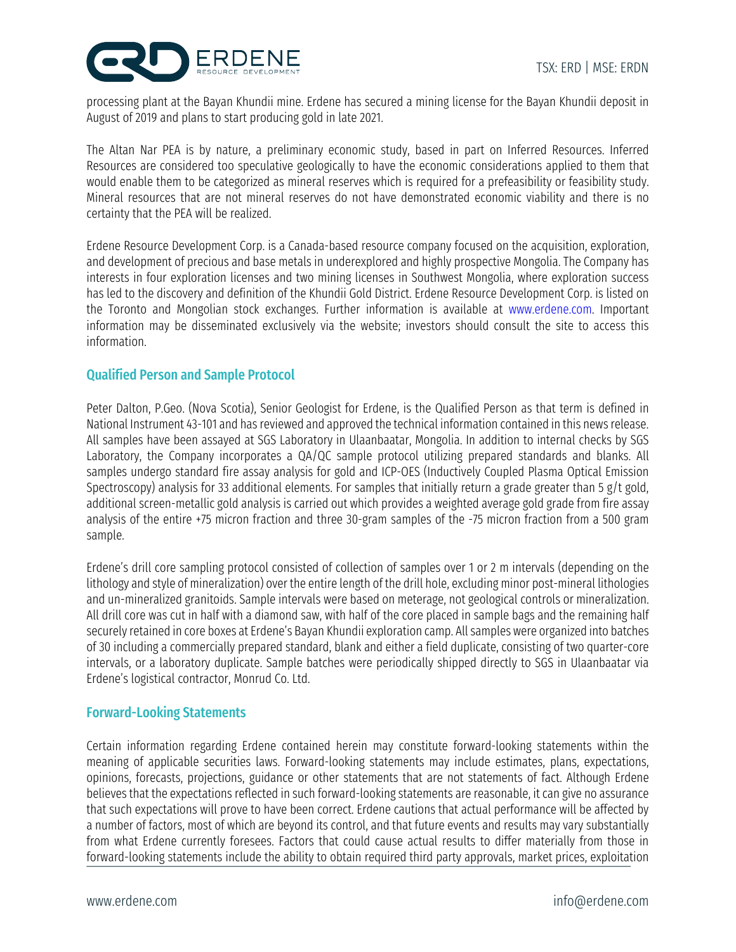

processing plant at the Bayan Khundii mine. Erdene has secured a mining license for the Bayan Khundii deposit in August of 2019 and plans to start producing gold in late 2021.

The Altan Nar PEA is by nature, a preliminary economic study, based in part on Inferred Resources. Inferred Resources are considered too speculative geologically to have the economic considerations applied to them that would enable them to be categorized as mineral reserves which is required for a prefeasibility or feasibility study. Mineral resources that are not mineral reserves do not have demonstrated economic viability and there is no certainty that the PEA will be realized.

Erdene Resource Development Corp. is a Canada-based resource company focused on the acquisition, exploration, and development of precious and base metals in underexplored and highly prospective Mongolia. The Company has interests in four exploration licenses and two mining licenses in Southwest Mongolia, where exploration success has led to the discovery and definition of the Khundii Gold District. Erdene Resource Development Corp. is listed on the Toronto and Mongolian stock exchanges. Further information is available at www.erdene.com. Important information may be disseminated exclusively via the website; investors should consult the site to access this information.

## Qualified Person and Sample Protocol

Peter Dalton, P.Geo. (Nova Scotia), Senior Geologist for Erdene, is the Qualified Person as that term is defined in National Instrument 43-101 and has reviewed and approved the technical information contained in this news release. All samples have been assayed at SGS Laboratory in Ulaanbaatar, Mongolia. In addition to internal checks by SGS Laboratory, the Company incorporates a QA/QC sample protocol utilizing prepared standards and blanks. All samples undergo standard fire assay analysis for gold and ICP-OES (Inductively Coupled Plasma Optical Emission Spectroscopy) analysis for 33 additional elements. For samples that initially return a grade greater than 5 g/t gold, additional screen-metallic gold analysis is carried out which provides a weighted average gold grade from fire assay analysis of the entire +75 micron fraction and three 30-gram samples of the -75 micron fraction from a 500 gram sample.

Erdene's drill core sampling protocol consisted of collection of samples over 1 or 2 m intervals (depending on the lithology and style of mineralization) over the entire length of the drill hole, excluding minor post-mineral lithologies and un-mineralized granitoids. Sample intervals were based on meterage, not geological controls or mineralization. All drill core was cut in half with a diamond saw, with half of the core placed in sample bags and the remaining half securely retained in core boxes at Erdene's Bayan Khundii exploration camp. All samples were organized into batches of 30 including a commercially prepared standard, blank and either a field duplicate, consisting of two quarter-core intervals, or a laboratory duplicate. Sample batches were periodically shipped directly to SGS in Ulaanbaatar via Erdene's logistical contractor, Monrud Co. Ltd.

## Forward-Looking Statements

Certain information regarding Erdene contained herein may constitute forward-looking statements within the meaning of applicable securities laws. Forward-looking statements may include estimates, plans, expectations, opinions, forecasts, projections, guidance or other statements that are not statements of fact. Although Erdene believes that the expectations reflected in such forward-looking statements are reasonable, it can give no assurance that such expectations will prove to have been correct. Erdene cautions that actual performance will be affected by a number of factors, most of which are beyond its control, and that future events and results may vary substantially from what Erdene currently foresees. Factors that could cause actual results to differ materially from those in forward-looking statements include the ability to obtain required third party approvals, market prices, exploitation